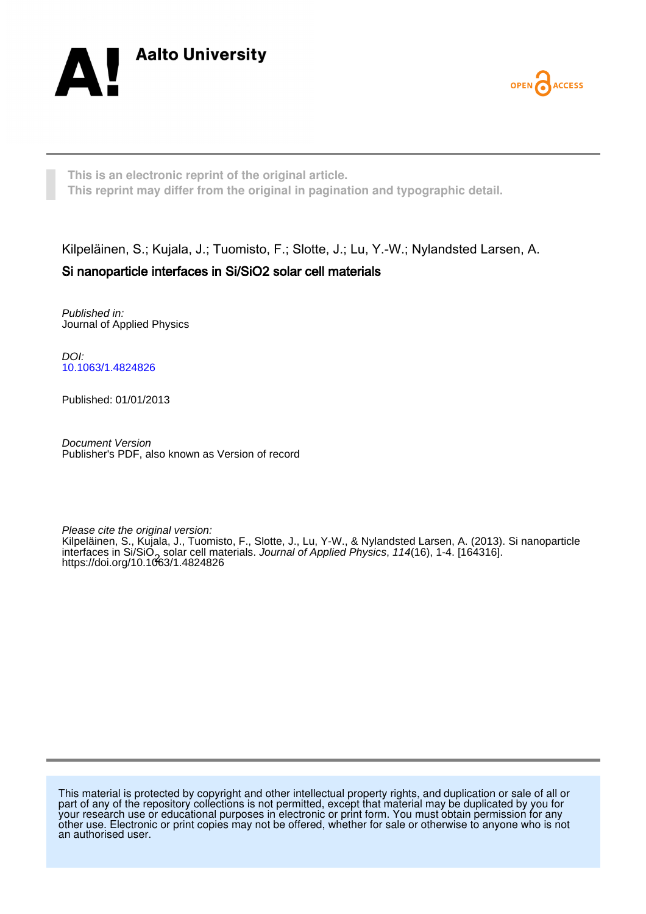



**This is an electronic reprint of the original article. This reprint may differ from the original in pagination and typographic detail.**

Kilpeläinen, S.; Kujala, J.; Tuomisto, F.; Slotte, J.; Lu, Y.-W.; Nylandsted Larsen, A. Si nanoparticle interfaces in Si/SiO2 solar cell materials

Published in: Journal of Applied Physics

DOI: [10.1063/1.4824826](https://doi.org/10.1063/1.4824826)

Published: 01/01/2013

Document Version Publisher's PDF, also known as Version of record

Please cite the original version: Kilpeläinen, S., Kujala, J., Tuomisto, F., Slotte, J., Lu, Y-W., & Nylandsted Larsen, A. (2013). Si nanoparticle interfaces in Si/SiO<sub>2</sub>, solar cell materials. *Journal of Applied Physics, 114*(16), 1-4. [164316].<br>https://doi.org/10.1063/1.4824826 <https://doi.org/10.1063/1.4824826>

This material is protected by copyright and other intellectual property rights, and duplication or sale of all or part of any of the repository collections is not permitted, except that material may be duplicated by you for your research use or educational purposes in electronic or print form. You must obtain permission for any other use. Electronic or print copies may not be offered, whether for sale or otherwise to anyone who is not an authorised user.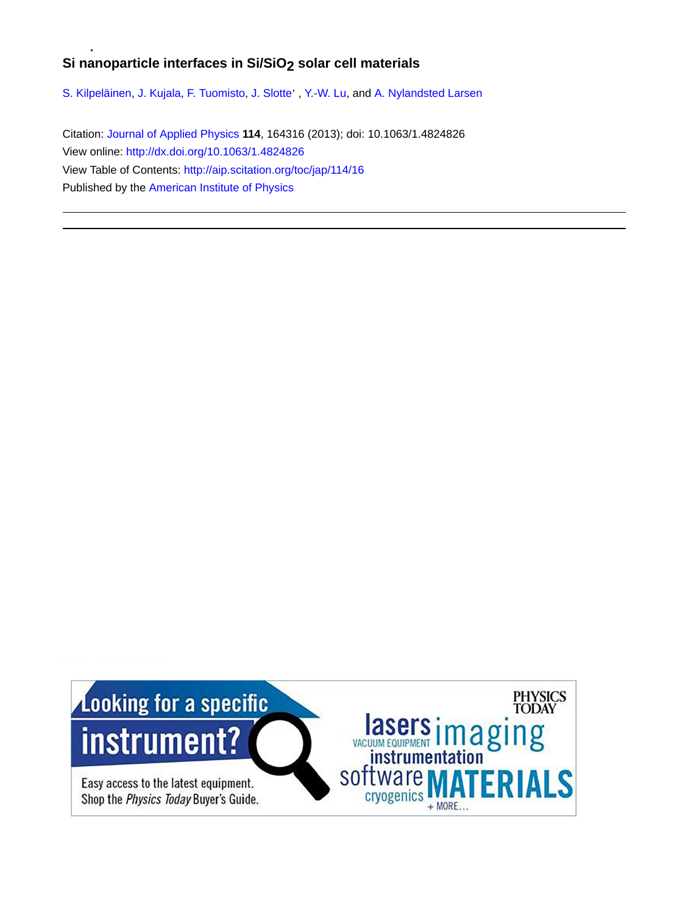# Si nanoparticle interfaces in Si/SiO<sub>2</sub> solar cell materials

[S. Kilpeläinen,](http://aip.scitation.org/author/Kilpel%C3%A4inen%2C+S) [J. Kujala](http://aip.scitation.org/author/Kujala%2C+J), [F. Tuomisto](http://aip.scitation.org/author/Tuomisto%2C+F), J. Slotte<sup>,</sup> , [Y.-W. Lu,](http://aip.scitation.org/author/Lu%2C+Y-W) and [A. Nylandsted Larsen](http://aip.scitation.org/author/Nylandsted+Larsen%2C+A)

Citation: [Journal of Applied Physics](/loi/jap) **114**, 164316 (2013); doi: 10.1063/1.4824826 View online: <http://dx.doi.org/10.1063/1.4824826> View Table of Contents: <http://aip.scitation.org/toc/jap/114/16> Published by the [American Institute of Physics](http://aip.scitation.org/publisher/)

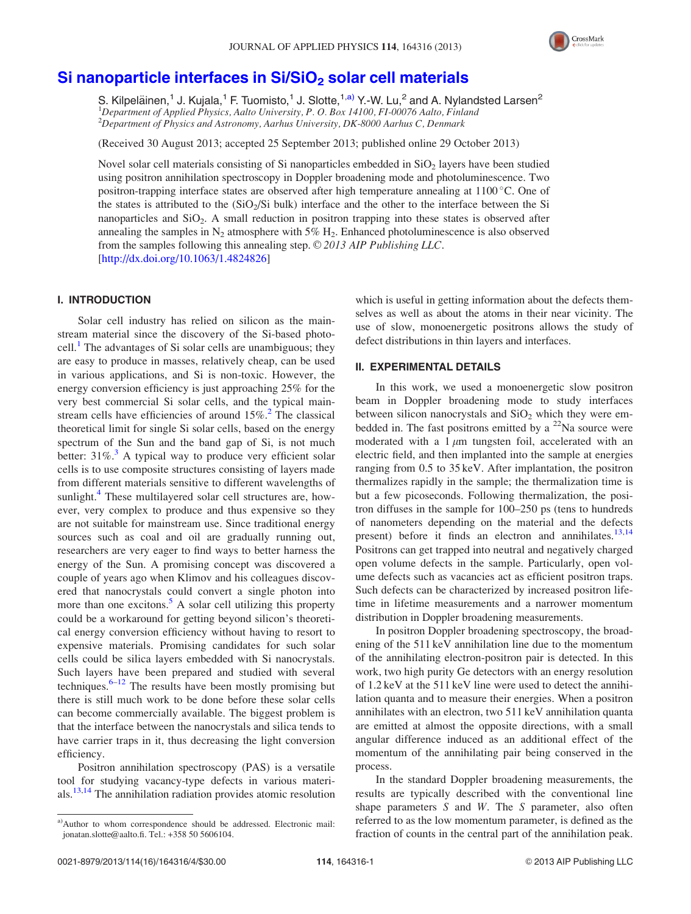

## Si nanoparticle interfaces in Si/SiO<sub>2</sub> [solar cell materials](http://dx.doi.org/10.1063/1.4824826)

S. Kilpeläinen,<sup>1</sup> J. Kujala,<sup>1</sup> F. Tuomisto,<sup>1</sup> J. Slotte,<sup>1,a)</sup> Y.-W. Lu,<sup>2</sup> and A. Nylandsted Larsen<sup>2</sup> <sup>1</sup>Department of Applied Physics, Aalto University, P. O. Box 14100, F1-00076 Aalto, Finland 2 Department of Physics and Astronomy, Aarhus University, DK-8000 Aarhus C, Denmark

(Received 30 August 2013; accepted 25 September 2013; published online 29 October 2013)

Novel solar cell materials consisting of Si nanoparticles embedded in  $SiO<sub>2</sub>$  layers have been studied using positron annihilation spectroscopy in Doppler broadening mode and photoluminescence. Two positron-trapping interface states are observed after high temperature annealing at 1100 °C. One of the states is attributed to the  $(SiO<sub>2</sub>/Si$  bulk) interface and the other to the interface between the Si nanoparticles and SiO<sub>2</sub>. A small reduction in positron trapping into these states is observed after annealing the samples in  $N_2$  atmosphere with 5% H<sub>2</sub>. Enhanced photoluminescence is also observed from the samples following this annealing step.  $\odot$  2013 AIP Publishing LLC. [\[http://dx.doi.org/10.1063/1.4824826](http://dx.doi.org/10.1063/1.4824826)]

### I. INTRODUCTION

Solar cell industry has relied on silicon as the mainstream material since the discovery of the Si-based photo-cell.<sup>[1](#page-5-0)</sup> The advantages of Si solar cells are unambiguous; they are easy to produce in masses, relatively cheap, can be used in various applications, and Si is non-toxic. However, the energy conversion efficiency is just approaching 25% for the very best commercial Si solar cells, and the typical mainstream cells have efficiencies of around  $15\%$ .<sup>[2](#page-5-0)</sup> The classical theoretical limit for single Si solar cells, based on the energy spectrum of the Sun and the band gap of Si, is not much better:  $31\%$  $31\%$ .<sup>3</sup> A typical way to produce very efficient solar cells is to use composite structures consisting of layers made from different materials sensitive to different wavelengths of sunlight.<sup>[4](#page-5-0)</sup> These multilayered solar cell structures are, however, very complex to produce and thus expensive so they are not suitable for mainstream use. Since traditional energy sources such as coal and oil are gradually running out, researchers are very eager to find ways to better harness the energy of the Sun. A promising concept was discovered a couple of years ago when Klimov and his colleagues discovered that nanocrystals could convert a single photon into more than one excitons.<sup>[5](#page-5-0)</sup> A solar cell utilizing this property could be a workaround for getting beyond silicon's theoretical energy conversion efficiency without having to resort to expensive materials. Promising candidates for such solar cells could be silica layers embedded with Si nanocrystals. Such layers have been prepared and studied with several techniques. $6-12$  $6-12$  $6-12$  The results have been mostly promising but there is still much work to be done before these solar cells can become commercially available. The biggest problem is that the interface between the nanocrystals and silica tends to have carrier traps in it, thus decreasing the light conversion efficiency.

Positron annihilation spectroscopy (PAS) is a versatile tool for studying vacancy-type defects in various materials[.13,14](#page-5-0) The annihilation radiation provides atomic resolution which is useful in getting information about the defects themselves as well as about the atoms in their near vicinity. The use of slow, monoenergetic positrons allows the study of defect distributions in thin layers and interfaces.

#### II. EXPERIMENTAL DETAILS

In this work, we used a monoenergetic slow positron beam in Doppler broadening mode to study interfaces between silicon nanocrystals and  $SiO<sub>2</sub>$  which they were embedded in. The fast positrons emitted by a  $^{22}$ Na source were moderated with a  $1 \mu m$  tungsten foil, accelerated with an electric field, and then implanted into the sample at energies ranging from 0.5 to 35 keV. After implantation, the positron thermalizes rapidly in the sample; the thermalization time is but a few picoseconds. Following thermalization, the positron diffuses in the sample for 100–250 ps (tens to hundreds of nanometers depending on the material and the defects present) before it finds an electron and annihilates.<sup>[13,14](#page-5-0)</sup> Positrons can get trapped into neutral and negatively charged open volume defects in the sample. Particularly, open volume defects such as vacancies act as efficient positron traps. Such defects can be characterized by increased positron lifetime in lifetime measurements and a narrower momentum distribution in Doppler broadening measurements.

In positron Doppler broadening spectroscopy, the broadening of the 511 keV annihilation line due to the momentum of the annihilating electron-positron pair is detected. In this work, two high purity Ge detectors with an energy resolution of 1.2 keV at the 511 keV line were used to detect the annihilation quanta and to measure their energies. When a positron annihilates with an electron, two 511 keV annihilation quanta are emitted at almost the opposite directions, with a small angular difference induced as an additional effect of the momentum of the annihilating pair being conserved in the process.

In the standard Doppler broadening measurements, the results are typically described with the conventional line shape parameters  $S$  and  $W$ . The  $S$  parameter, also often referred to as the low momentum parameter, is defined as the fraction of counts in the central part of the annihilation peak.

a)Author to whom correspondence should be addressed. Electronic mail: [jonatan.slotte@aalto.fi](mailto:jonatan.slotte@aalto.fi). Tel.: +358 50 5606104.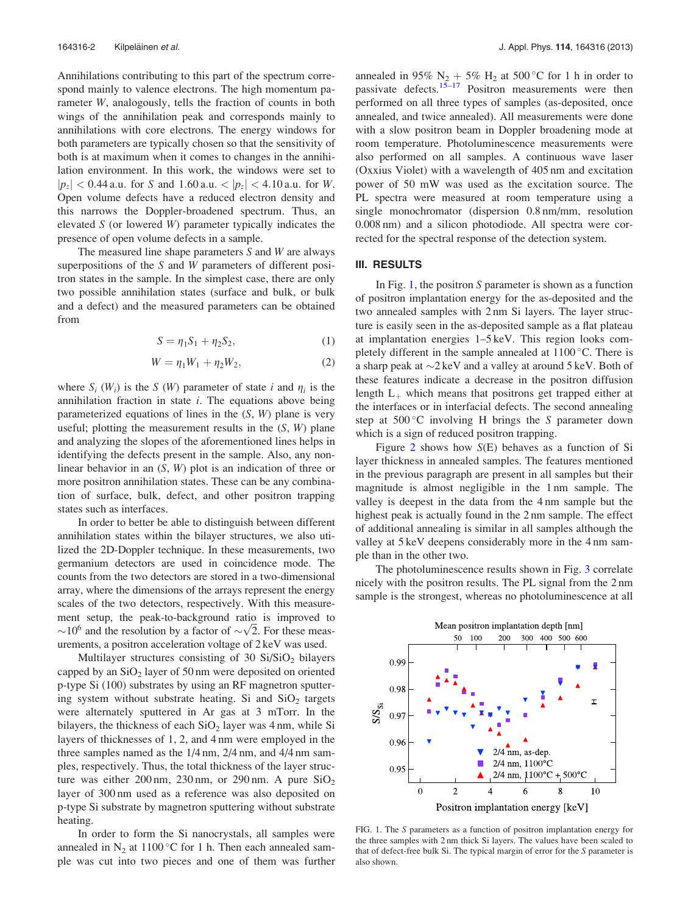<span id="page-3-0"></span>Annihilations contributing to this part of the spectrum correspond mainly to valence electrons. The high momentum parameter W, analogously, tells the fraction of counts in both wings of the annihilation peak and corresponds mainly to annihilations with core electrons. The energy windows for both parameters are typically chosen so that the sensitivity of both is at maximum when it comes to changes in the annihilation environment. In this work, the windows were set to  $|p_z|$  < 0.44 a.u. for S and 1.60 a.u. <  $|p_z|$  < 4.10 a.u. for W. Open volume defects have a reduced electron density and this narrows the Doppler-broadened spectrum. Thus, an elevated  $S$  (or lowered  $W$ ) parameter typically indicates the presence of open volume defects in a sample.

The measured line shape parameters  $S$  and  $W$  are always superpositions of the S and W parameters of different positron states in the sample. In the simplest case, there are only two possible annihilation states (surface and bulk, or bulk and a defect) and the measured parameters can be obtained from

$$
S = \eta_1 S_1 + \eta_2 S_2, \tag{1}
$$

$$
W = \eta_1 W_1 + \eta_2 W_2, \tag{2}
$$

where  $S_i$  (W<sub>i</sub>) is the S (W) parameter of state i and  $\eta_i$  is the annihilation fraction in state  $i$ . The equations above being parameterized equations of lines in the  $(S, W)$  plane is very useful; plotting the measurement results in the  $(S, W)$  plane and analyzing the slopes of the aforementioned lines helps in identifying the defects present in the sample. Also, any nonlinear behavior in an  $(S, W)$  plot is an indication of three or more positron annihilation states. These can be any combination of surface, bulk, defect, and other positron trapping states such as interfaces.

In order to better be able to distinguish between different annihilation states within the bilayer structures, we also utilized the 2D-Doppler technique. In these measurements, two germanium detectors are used in coincidence mode. The counts from the two detectors are stored in a two-dimensional array, where the dimensions of the arrays represent the energy scales of the two detectors, respectively. With this measurement setup, the peak-to-background ratio is improved to ment setup, the peak-to-background ratio is improved to  $\sim 10^6$  and the resolution by a factor of  $\sim \sqrt{2}$ . For these measurements, a positron acceleration voltage of 2 keV was used.

Multilayer structures consisting of 30  $Si/SiO<sub>2</sub>$  bilayers capped by an  $SiO<sub>2</sub>$  layer of 50 nm were deposited on oriented p-type Si (100) substrates by using an RF magnetron sputtering system without substrate heating. Si and  $SiO<sub>2</sub>$  targets were alternately sputtered in Ar gas at 3 mTorr. In the bilayers, the thickness of each  $SiO<sub>2</sub>$  layer was 4 nm, while Si layers of thicknesses of 1, 2, and 4 nm were employed in the three samples named as the 1/4 nm, 2/4 nm, and 4/4 nm samples, respectively. Thus, the total thickness of the layer structure was either 200 nm, 230 nm, or 290 nm. A pure  $SiO<sub>2</sub>$ layer of 300 nm used as a reference was also deposited on p-type Si substrate by magnetron sputtering without substrate heating.

In order to form the Si nanocrystals, all samples were annealed in  $N_2$  at 1100 °C for 1 h. Then each annealed sample was cut into two pieces and one of them was further

annealed in 95%  $N_2 + 5% H_2$  at 500 °C for 1 h in order to passivate defects. $15-17$  Positron measurements were then performed on all three types of samples (as-deposited, once annealed, and twice annealed). All measurements were done with a slow positron beam in Doppler broadening mode at room temperature. Photoluminescence measurements were also performed on all samples. A continuous wave laser (Oxxius Violet) with a wavelength of 405 nm and excitation power of 50 mW was used as the excitation source. The PL spectra were measured at room temperature using a single monochromator (dispersion 0.8 nm/mm, resolution 0.008 nm) and a silicon photodiode. All spectra were corrected for the spectral response of the detection system.

## III. RESULTS

In Fig. 1, the positron  $S$  parameter is shown as a function of positron implantation energy for the as-deposited and the two annealed samples with 2 nm Si layers. The layer structure is easily seen in the as-deposited sample as a flat plateau at implantation energies 1–5 keV. This region looks completely different in the sample annealed at  $1100\,^{\circ}$ C. There is a sharp peak at  $\sim$ 2 keV and a valley at around 5 keV. Both of these features indicate a decrease in the positron diffusion length  $L_{+}$  which means that positrons get trapped either at the interfaces or in interfacial defects. The second annealing step at  $500^{\circ}$ C involving H brings the S parameter down which is a sign of reduced positron trapping.

Figure [2](#page-4-0) shows how  $S(E)$  behaves as a function of Si layer thickness in annealed samples. The features mentioned in the previous paragraph are present in all samples but their magnitude is almost negligible in the 1 nm sample. The valley is deepest in the data from the 4 nm sample but the highest peak is actually found in the 2 nm sample. The effect of additional annealing is similar in all samples although the valley at 5 keV deepens considerably more in the 4 nm sample than in the other two.

The photoluminescence results shown in Fig. [3](#page-4-0) correlate nicely with the positron results. The PL signal from the 2 nm sample is the strongest, whereas no photoluminescence at all



FIG. 1. The S parameters as a function of positron implantation energy for the three samples with 2 nm thick Si layers. The values have been scaled to that of defect-free bulk Si. The typical margin of error for the S parameter is also shown.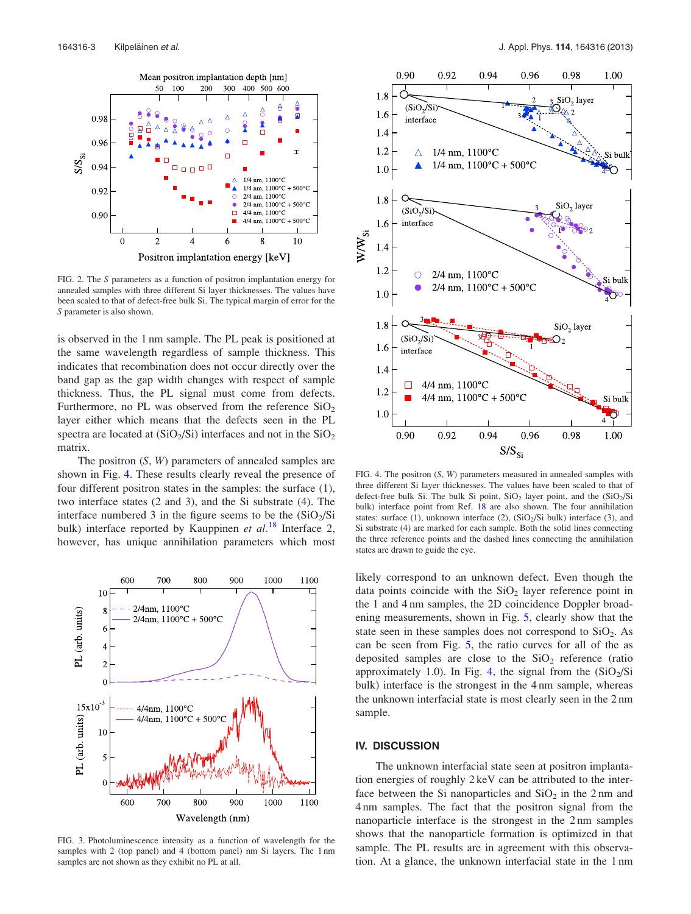<span id="page-4-0"></span>

FIG. 2. The S parameters as a function of positron implantation energy for annealed samples with three different Si layer thicknesses. The values have been scaled to that of defect-free bulk Si. The typical margin of error for the S parameter is also shown.

is observed in the 1 nm sample. The PL peak is positioned at the same wavelength regardless of sample thickness. This indicates that recombination does not occur directly over the band gap as the gap width changes with respect of sample thickness. Thus, the PL signal must come from defects. Furthermore, no PL was observed from the reference  $SiO<sub>2</sub>$ layer either which means that the defects seen in the PL spectra are located at  $(SiO<sub>2</sub>/Si)$  interfaces and not in the  $SiO<sub>2</sub>$ matrix.

The positron  $(S, W)$  parameters of annealed samples are shown in Fig. 4. These results clearly reveal the presence of four different positron states in the samples: the surface (1), two interface states (2 and 3), and the Si substrate (4). The interface numbered 3 in the figure seems to be the  $(SiO<sub>2</sub>/Si)$ bulk) interface reported by Kauppinen et  $al.^{18}$  $al.^{18}$  $al.^{18}$  Interface 2, however, has unique annihilation parameters which most



FIG. 3. Photoluminescence intensity as a function of wavelength for the samples with 2 (top panel) and 4 (bottom panel) nm Si layers. The 1 nm samples are not shown as they exhibit no PL at all.



FIG. 4. The positron (S, W) parameters measured in annealed samples with three different Si layer thicknesses. The values have been scaled to that of defect-free bulk Si. The bulk Si point,  $SiO<sub>2</sub>$  layer point, and the  $(SiO<sub>2</sub>/Si)$ bulk) interface point from Ref. [18](#page-5-0) are also shown. The four annihilation states: surface (1), unknown interface (2),  $(SiO<sub>2</sub>/Si$  bulk) interface (3), and Si substrate (4) are marked for each sample. Both the solid lines connecting the three reference points and the dashed lines connecting the annihilation states are drawn to guide the eye.

likely correspond to an unknown defect. Even though the data points coincide with the  $SiO<sub>2</sub>$  layer reference point in the 1 and 4 nm samples, the 2D coincidence Doppler broadening measurements, shown in Fig. [5,](#page-5-0) clearly show that the state seen in these samples does not correspond to  $SiO<sub>2</sub>$ . As can be seen from Fig. [5](#page-5-0), the ratio curves for all of the as deposited samples are close to the  $SiO<sub>2</sub>$  reference (ratio approximately 1.0). In Fig. 4, the signal from the  $(SiO<sub>2</sub>/Si)$ bulk) interface is the strongest in the 4 nm sample, whereas the unknown interfacial state is most clearly seen in the 2 nm sample.

#### IV. DISCUSSION

The unknown interfacial state seen at positron implantation energies of roughly 2 keV can be attributed to the interface between the Si nanoparticles and  $SiO<sub>2</sub>$  in the 2 nm and 4 nm samples. The fact that the positron signal from the nanoparticle interface is the strongest in the 2 nm samples shows that the nanoparticle formation is optimized in that sample. The PL results are in agreement with this observation. At a glance, the unknown interfacial state in the 1 nm